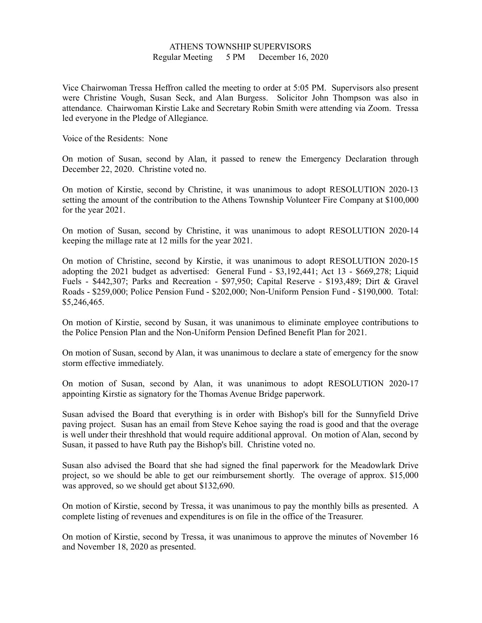## ATHENS TOWNSHIP SUPERVISORS Regular Meeting 5 PM December 16, 2020

Vice Chairwoman Tressa Heffron called the meeting to order at 5:05 PM. Supervisors also present were Christine Vough, Susan Seck, and Alan Burgess. Solicitor John Thompson was also in attendance. Chairwoman Kirstie Lake and Secretary Robin Smith were attending via Zoom. Tressa led everyone in the Pledge of Allegiance.

Voice of the Residents: None

On motion of Susan, second by Alan, it passed to renew the Emergency Declaration through December 22, 2020. Christine voted no.

On motion of Kirstie, second by Christine, it was unanimous to adopt RESOLUTION 2020-13 setting the amount of the contribution to the Athens Township Volunteer Fire Company at \$100,000 for the year 2021.

On motion of Susan, second by Christine, it was unanimous to adopt RESOLUTION 2020-14 keeping the millage rate at 12 mills for the year 2021.

On motion of Christine, second by Kirstie, it was unanimous to adopt RESOLUTION 2020-15 adopting the 2021 budget as advertised: General Fund - \$3,192,441; Act 13 - \$669,278; Liquid Fuels - \$442,307; Parks and Recreation - \$97,950; Capital Reserve - \$193,489; Dirt & Gravel Roads - \$259,000; Police Pension Fund - \$202,000; Non-Uniform Pension Fund - \$190,000. Total: \$5,246,465.

On motion of Kirstie, second by Susan, it was unanimous to eliminate employee contributions to the Police Pension Plan and the Non-Uniform Pension Defined Benefit Plan for 2021.

On motion of Susan, second by Alan, it was unanimous to declare a state of emergency for the snow storm effective immediately.

On motion of Susan, second by Alan, it was unanimous to adopt RESOLUTION 2020-17 appointing Kirstie as signatory for the Thomas Avenue Bridge paperwork.

Susan advised the Board that everything is in order with Bishop's bill for the Sunnyfield Drive paving project. Susan has an email from Steve Kehoe saying the road is good and that the overage is well under their threshhold that would require additional approval. On motion of Alan, second by Susan, it passed to have Ruth pay the Bishop's bill. Christine voted no.

Susan also advised the Board that she had signed the final paperwork for the Meadowlark Drive project, so we should be able to get our reimbursement shortly. The overage of approx. \$15,000 was approved, so we should get about \$132,690.

On motion of Kirstie, second by Tressa, it was unanimous to pay the monthly bills as presented. A complete listing of revenues and expenditures is on file in the office of the Treasurer.

On motion of Kirstie, second by Tressa, it was unanimous to approve the minutes of November 16 and November 18, 2020 as presented.